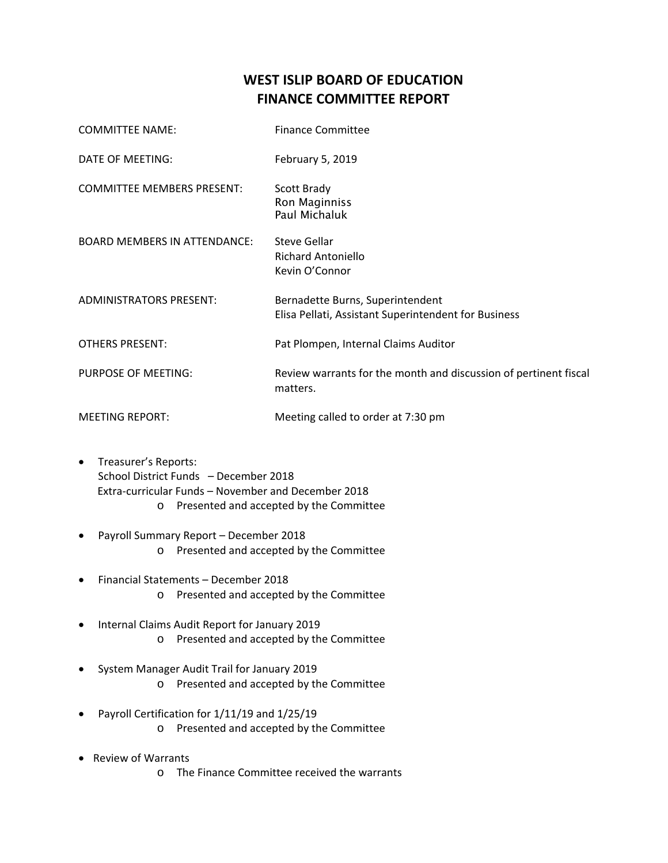## **WEST ISLIP BOARD OF EDUCATION FINANCE COMMITTEE REPORT**

| <b>COMMITTEE NAME:</b>              | <b>Finance Committee</b>                                                                 |
|-------------------------------------|------------------------------------------------------------------------------------------|
| DATE OF MEETING:                    | February 5, 2019                                                                         |
| <b>COMMITTEE MEMBERS PRESENT:</b>   | Scott Brady<br>Ron Maginniss<br>Paul Michaluk                                            |
| <b>BOARD MEMBERS IN ATTENDANCE:</b> | <b>Steve Gellar</b><br>Richard Antoniello<br>Kevin O'Connor                              |
| <b>ADMINISTRATORS PRESENT:</b>      | Bernadette Burns, Superintendent<br>Elisa Pellati, Assistant Superintendent for Business |
| <b>OTHERS PRESENT:</b>              | Pat Plompen, Internal Claims Auditor                                                     |
| PURPOSE OF MEETING:                 | Review warrants for the month and discussion of pertinent fiscal<br>matters.             |
| <b>MEETING REPORT:</b>              | Meeting called to order at 7:30 pm                                                       |

- Treasurer's Reports: School District Funds – December 2018 Extra‐curricular Funds – November and December 2018 o Presented and accepted by the Committee
- Payroll Summary Report December 2018 o Presented and accepted by the Committee
- Financial Statements December 2018 o Presented and accepted by the Committee
- Internal Claims Audit Report for January 2019 o Presented and accepted by the Committee
- System Manager Audit Trail for January 2019 o Presented and accepted by the Committee
- Payroll Certification for 1/11/19 and 1/25/19 o Presented and accepted by the Committee
- Review of Warrants
	- o The Finance Committee received the warrants